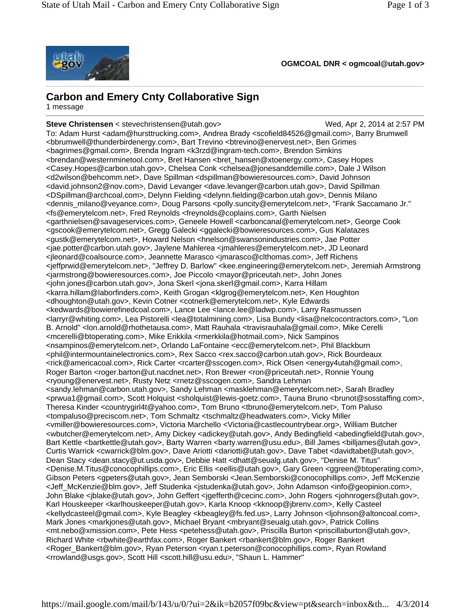

**OGMCOAL DNR < ogmcoal@utah.gov>** 

## **Carbon and Emery Cnty Collaborative Sign**

1 message

**Steve Christensen** < stevechristensen@utah.gov> Wed, Apr 2, 2014 at 2:57 PM To: Adam Hurst <adam@hursttrucking.com>, Andrea Brady <scofield84526@gmail.com>, Barry Brumwell <bbrumwell@thunderbirdenergy.com>, Bart Trevino <btrevino@enervest.net>, Ben Grimes <bagrimes@gmail.com>, Brenda Ingram <k3rzd@ingram-tech.com>, Brendon Simkins <brendan@westernminetool.com>, Bret Hansen <bret\_hansen@xtoenergy.com>, Casey Hopes <Casey.Hopes@carbon.utah.gov>, Chelsea Conk <chelsea@jonesanddemille.com>, Dale J Wilson <d2wilson@behcomm.net>, Dave Spillman <dspillman@bowieresources.com>, David Johnson <david.johnson2@nov.com>, David Levanger <dave.levanger@carbon.utah.gov>, David Spillman <DSpillman@archcoal.com>, Delynn Fielding <delynn.fielding@carbon.utah.gov>, Dennis Milano <dennis\_milano@veyance.com>, Doug Parsons <polly.suncity@emerytelcom.net>, "Frank Saccamano Jr." <fs@emerytelcom.net>, Fred Reynolds <freynolds@coplains.com>, Garth Nielsen <garthnielsen@savageservices.com>, Geneele Howell <carboncanal@emerytelcom.net>, George Cook <gscook@emerytelcom.net>, Gregg Galecki <ggalecki@bowieresources.com>, Gus Kalatazes <gustk@emerytelcom.net>, Howard Nelson <hnelson@swansonindustries.com>, Jae Potter <jae.potter@carbon.utah.gov>, Jaylene Mahlerea <jmahleres@emerytelcom.net>, JD Leonard <jleonard@coalsource.com>, Jeannette Marasco <jmarasco@clthomas.com>, Jeff Richens <jeffprwid@emerytelcom.net>, "Jeffrey D. Barlow" <kee.engineering@emerytelcom.net>, Jeremiah Armstrong <jarmstrong@bowieresources.com>, Joe Piccolo <mayor@priceutah.net>, John Jones <john.jones@carbon.utah.gov>, Jona Skerl <jona.skerl@gmail.com>, Karra Hillam <karra.hillam@laborfinders.com>, Keith Grogan <klgrog@emerytelcom.net>, Ken Houghton <dhoughton@utah.gov>, Kevin Cotner <cotnerk@emerytelcom.net>, Kyle Edwards <kedwards@bowierefinedcoal.com>, Lance Lee <lance.lee@ladwp.com>, Larry Rasmussen <larryr@whiting.com>, Lea Pistorelli <lea@totalmining.com>, Lisa Bundy <lisa@nelcocontractors.com>, "Lon B. Arnold" <lon.arnold@rhothetausa.com>, Matt Rauhala <travisrauhala@gmail.com>, Mike Cerelli <mcerelli@btoperating.com>, Mike Erikkila <rmerkkila@hotmail.com>, Nick Sampinos <nsampinos@emerytelcom.net>, Orlando LaFontaine <ecc@emerytelcom.net>, Phil Blackburn <phil@intermountainelectronics.com>, Rex Sacco <rex.sacco@carbon.utah.gov>, Rick Bourdeaux <rick@americacoal.com>, Rick Carter <rcarter@sscogen.com>, Rick Olsen <energy4utah@gmail.com>, Roger Barton <roger.barton@ut.nacdnet.net>, Ron Brewer <ron@priceutah.net>, Ronnie Young <ryoung@enervest.net>, Rusty Netz <rnetz@sscogen.com>, Sandra Lehman <sandy.lehman@carbon.utah.gov>, Sandy Lehman <masklehman@emerytelcom.net>, Sarah Bradley <prwua1@gmail.com>, Scott Holquist <sholquist@lewis-goetz.com>, Tauna Bruno <brunot@sosstaffing.com>, Theresa Kinder <countrygirl4t@yahoo.com>, Tom Bruno <tbruno@emerytelcom.net>, Tom Paluso <tompaluso@preciscom.net>, Tom Schmaltz <tschmaltz@headwaters.com>, Vicky Miller <vmiller@bowieresources.com>, Victoria Marchello <Victoria@castlecountrybear.org>, William Butcher <wbutcher@emerytelcom.net>, Amy Dickey <adickey@utah.gov>, Andy Bedingfield <abedingfield@utah.gov>, Bart Kettle <br />artkettle@utah.gov>, Barty Warren <br />arty.warren@usu.edu>, Bill James <br />billiames@utah.gov>, Curtis Warrick <cwarrick@blm.gov>, Dave Ariotti <dariotti@utah.gov>, Dave Tabet <davidtabet@utah.gov>, Dean Stacy <dean.stacy@ut.usda.gov>, Debbie Hatt <dhatt@seualg.utah.gov>, "Denise M. Titus" <Denise.M.Titus@conocophillips.com>, Eric Ellis <eellis@utah.gov>, Gary Green <ggreen@btoperating.com>, Gibson Peters <gpeters@utah.gov>, Jean Semborski <Jean.Semborski@conocophillips.com>, Jeff McKenzie <Jeff\_McKenzie@blm.gov>, Jeff Studenka <jstudenka@utah.gov>, John Adamson <info@geopinion.com>, John Blake <jblake@utah.gov>, John Geffert <jgefferth@cecinc.com>, John Rogers <johnrogers@utah.gov>, Karl Houskeeper <karlhouskeeper@utah.gov>, Karla Knoop <kknoop@jbrenv.com>, Kelly Casteel <kellydcasteel@gmail.com>, Kyle Beagley <kbeagley@fs.fed.us>, Larry Johnson <ljohnson@altoncoal.com>, Mark Jones <markjones@utah.gov>, Michael Bryant <mbryant@seualg.utah.gov>, Patrick Collins <mt.nebo@xmission.com>, Pete Hess <petehess@utah.gov>, Priscilla Burton <priscillaburton@utah.gov>, Richard White <rbwhite@earthfax.com>, Roger Bankert <rbankert@blm.gov>, Roger Bankert <Roger\_Bankert@blm.gov>, Ryan Peterson <ryan.t.peterson@conocophillips.com>, Ryan Rowland <rrowland@usgs.gov>, Scott Hill <scott.hill@usu.edu>, "Shaun L. Hammer"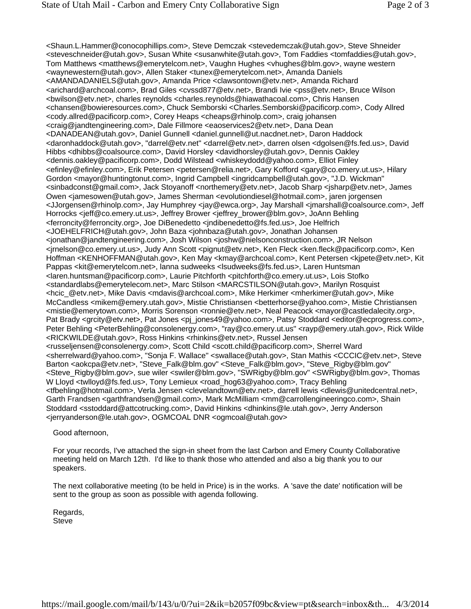<Shaun.L.Hammer@conocophillips.com>, Steve Demczak <stevedemczak@utah.gov>, Steve Shneider <steveschneider@utah.gov>, Susan White <susanwhite@utah.gov>, Tom Faddies <tomfaddies@utah.gov>, Tom Matthews <matthews@emerytelcom.net>, Vaughn Hughes <vhughes@blm.gov>, wayne western <waynewestern@utah.gov>, Allen Staker <tunex@emerytelcom.net>, Amanda Daniels <AMANDADANIELS@utah.gov>, Amanda Price <clawsontown@etv.net>, Amanda Richard <arichard@archcoal.com>, Brad Giles <cvssd877@etv.net>, Brandi Ivie <pss@etv.net>, Bruce Wilson <bwilson@etv.net>, charles reynolds <charles.reynolds@hiawathacoal.com>, Chris Hansen <chansen@bowieresources.com>, Chuck Semborski <Charles.Semborski@pacificorp.com>, Cody Allred <cody.allred@pacificorp.com>, Corey Heaps <cheaps@rhinolp.com>, craig johansen <craig@jandtengineering.com>, Dale Fillmore <eaoservices2@etv.net>, Dana Dean <DANADEAN@utah.gov>, Daniel Gunnell <daniel.gunnell@ut.nacdnet.net>, Daron Haddock <daronhaddock@utah.gov>, "darrel@etv.net" <darrel@etv.net>, darren olsen <dgolsen@fs.fed.us>, David Hibbs <dhibbs@coalsource.com>, David Horsley <davidhorsley@utah.gov>, Dennis Oakley <dennis.oakley@pacificorp.com>, Dodd Wilstead <whiskeydodd@yahoo.com>, Elliot Finley <efinley@efinley.com>, Erik Petersen <petersen@relia.net>, Gary Kofford <gary@co.emery.ut.us>, Hilary Gordon <mayor@huntingtonut.com>, Ingrid Campbell <ingridcampbell@utah.gov>, "J.D. Wickman" <sinbadconst@gmail.com>, Jack Stoyanoff <northemery@etv.net>, Jacob Sharp <jsharp@etv.net>, James Owen <jamesowen@utah.gov>, James Sherman <evolutiondiesel@hotmail.com>, jaren jorgensen <JJorgensen@rhinolp.com>, Jay Humphrey <jay@ewca.org>, Jay Marshall <jmarshall@coalsource.com>, Jeff Horrocks <jeff@co.emery.ut.us>, Jeffrey Brower <jeffrey\_brower@blm.gov>, JoAnn Behling <ferroncity@ferroncity.org>, Joe DiBenedetto <jndibenedetto@fs.fed.us>, Joe Helfrich <JOEHELFRICH@utah.gov>, John Baza <johnbaza@utah.gov>, Jonathan Johansen <jonathan@jandtengineering.com>, Josh Wilson <joshw@nielsonconstruction.com>, JR Nelson <jrnelson@co.emery.ut.us>, Judy Ann Scott <pignut@etv.net>, Ken Fleck <ken.fleck@pacificorp.com>, Ken Hoffman <KENHOFFMAN@utah.gov>, Ken May <kmay@archcoal.com>, Kent Petersen <kjpete@etv.net>, Kit Pappas <kit@emerytelcom.net>, lanna sudweeks <lsudweeks@fs.fed.us>, Laren Huntsman <laren.huntsman@pacificorp.com>, Laurie Pitchforth <pitchforth@co.emery.ut.us>, Lois Stofko <standardlabs@emerytelecom.net>, Marc Stilson <MARCSTILSON@utah.gov>, Marilyn Rosquist <hcic\_@etv.net>, Mike Davis <mdavis@archcoal.com>, Mike Herkimer <mherkimer@utah.gov>, Mike McCandless <mikem@emery.utah.gov>, Mistie Christiansen <betterhorse@yahoo.com>, Mistie Christiansen <mistie@emerytown.com>, Morris Sorenson <ronnie@etv.net>, Neal Peacock <mayor@castledalecity.org>, Pat Brady <grcity@etv.net>, Pat Jones <pj\_jones49@yahoo.com>, Patsy Stoddard <editor@ecprogress.com>, Peter Behling <PeterBehling@consolenergy.com>, "ray@co.emery.ut.us" <rayp@emery.utah.gov>, Rick Wilde <RICKWILDE@utah.gov>, Ross Hinkins <rhinkins@etv.net>, Russel Jensen <russeljensen@consolenergy.com>, Scott Child <scott.child@pacificorp.com>, Sherrel Ward <sherrelward@yahoo.com>, "Sonja F. Wallace" <swallace@utah.gov>, Stan Mathis <CCCIC@etv.net>, Steve Barton <aokcpa@etv.net>, "Steve\_Falk@blm.gov" <Steve\_Falk@blm.gov>, "Steve\_Rigby@blm.gov" <Steve\_Rigby@blm.gov>, sue wiler <swiler@blm.gov>, "SWRigby@blm.gov" <SWRigby@blm.gov>, Thomas W Lloyd <twlloyd@fs.fed.us>, Tony Lemieux <road hog63@yahoo.com>, Tracy Behling <tfbehling@hotmail.com>, Verla Jensen <clevelandtown@etv.net>, darrell lewis <dlewis@unitedcentral.net>, Garth Frandsen <garthfrandsen@gmail.com>, Mark McMilliam <mm@carrollengineeringco.com>, Shain Stoddard <sstoddard@attcotrucking.com>, David Hinkins <dhinkins@le.utah.gov>, Jerry Anderson <jerryanderson@le.utah.gov>, OGMCOAL DNR <ogmcoal@utah.gov>

Good afternoon,

For your records, I've attached the sign-in sheet from the last Carbon and Emery County Collaborative meeting held on March 12th. I'd like to thank those who attended and also a big thank you to our speakers.

The next collaborative meeting (to be held in Price) is in the works. A 'save the date' notification will be sent to the group as soon as possible with agenda following.

Regards, Steve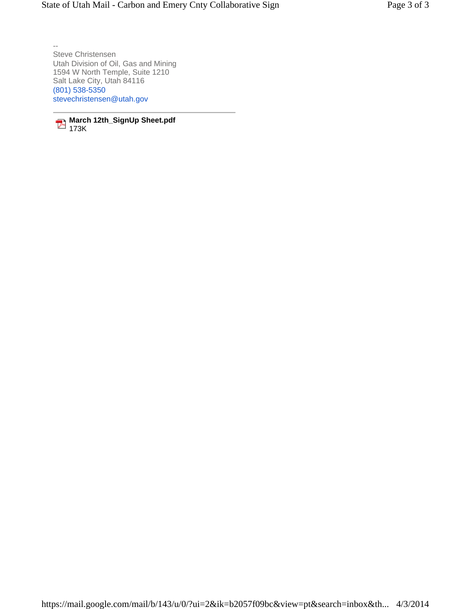-- Steve Christensen Utah Division of Oil, Gas and Mining 1594 W North Temple, Suite 1210 Salt Lake City, Utah 84116 (801) 538-5350 stevechristensen@utah.gov

**March 12th\_SignUp Sheet.pdf** 173K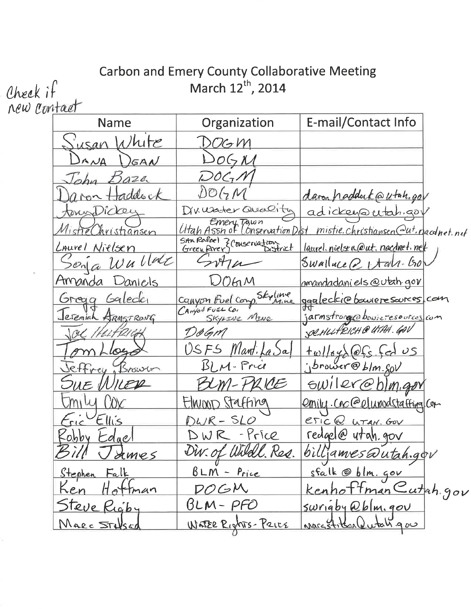## Carbon and Emery County Collaborative Meeting<br>March 12<sup>th</sup>, 2014

| Check it    |                     | March 12 <sup>th</sup> , 2014                |                                    |
|-------------|---------------------|----------------------------------------------|------------------------------------|
| new contact |                     |                                              |                                    |
|             | <b>Name</b>         | Organization                                 | E-mail/Contact Info                |
|             | lute<br>usan        | OG M                                         |                                    |
|             | $A \wedge A$<br>GAN | O(5M                                         |                                    |
|             | 220                 | $LOC_7$ /Y                                   |                                    |
|             | addock              | DOGN                                         | daren haddert@utah.gov             |
|             | tony Dicker         | Drusater Quality                             | adickey autah gav                  |
|             | listieChristiansen  | Emery Tawn<br>Utah Assn of Lonservation Dist | mistie.christiansen@ut.nacdnet.net |
|             | Laurel Nielsen      | UTAVITION.                                   | laurel. nielsen@ut. nacdnet. net   |
|             | Wullac<br>20n       |                                              | Swalluce $\geq 1$ tall-bo          |
|             | Amanda<br>Daniels   | OM                                           | <u>amandadaniels@utah.gov</u>      |
|             | Galeder<br>Gregg    | Canyon Fuel Comp Skyline                     | ggaleckie boweresoures, com        |
|             | Jeremiah ARMSTRONG  | SKYLINE MINE                                 | jarnstrong@bowieresources.com      |
|             | OL HELFRIGH         | DøGM                                         | SOLHULFRICH @ UTAH. GOV            |
|             | Lce                 | USFS<br>Mant.                                | $f$ cd US<br>$\omega$ S            |
|             | effrey<br>Israwin   | BLM-Price                                    | jbrower@blm.sov                    |
|             | KER<br>$U \in$      | 210E                                         | GW1QY@b1<br>M, 90                  |
|             | miw                 | Elwwp Staffing                               | emily.cnc@elunodstaffinglor        |
|             | $Eric$ Ellis        | DWR-SLO                                      | eric@ LITAH. GOV                   |
|             | Robby Edgel         | DWR-Price                                    | redgel@ utah.gov                   |
|             | Bill James          | Div. of Wildl. Res.                          | billjames@utah.gov                 |
|             | Stephen Falk        | $BLM - Price$                                | sfalk @ blm. gov                   |
|             | Ken Hottman         | DOGM                                         | <u>Kenhoffman Cutah</u> gov        |
|             | Steve Rigby         | $BLM-PPO$                                    | <u>swrigby @blm.gov</u>            |
|             | MARC STUSED         | WATER RICHTS- PRICE                          | nargetiten Qutal gov               |